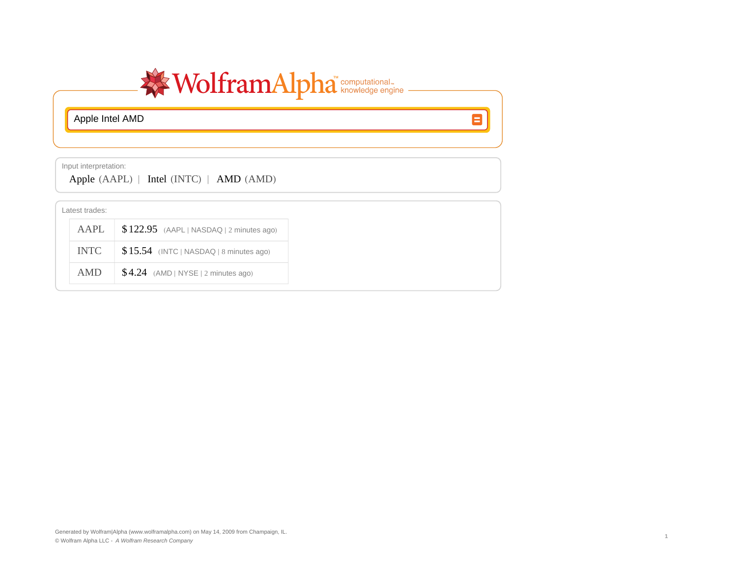

 $\blacksquare$ 

Apple Intel AMD

Input interpretation:

Apple  $(AAPL)$  | Intel  $(INTC)$  | AMD  $(AMD)$ 

| Latest trades: |                                           |  |  |  |  |
|----------------|-------------------------------------------|--|--|--|--|
| AAPL           | $$122.95$ (AAPL   NASDAQ   2 minutes ago) |  |  |  |  |
| <b>INTC</b>    | $$15.54$ (INTC   NASDAQ   8 minutes ago)  |  |  |  |  |
| AMD            | $$4.24$ (AMD   NYSE   2 minutes ago)      |  |  |  |  |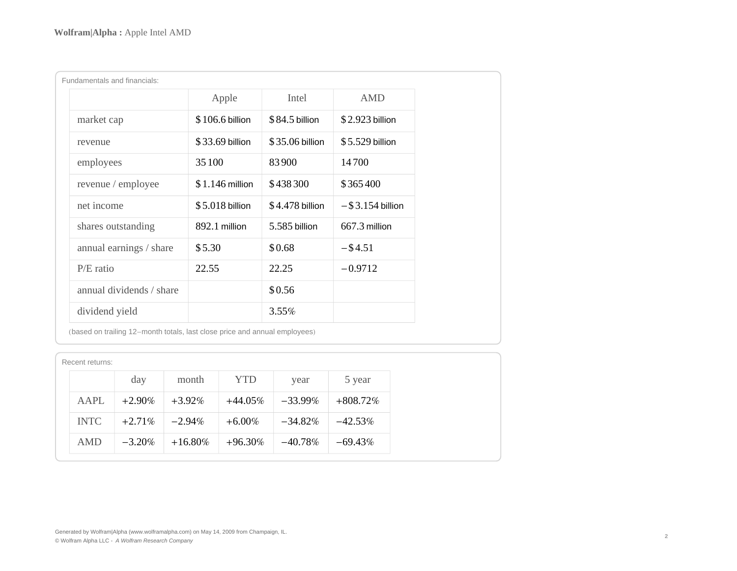| Fundamentals and financials: |                  |                 |                     |  |  |  |  |
|------------------------------|------------------|-----------------|---------------------|--|--|--|--|
|                              | Apple            | Intel           | <b>AMD</b>          |  |  |  |  |
| market cap                   | $$106.6$ billion | \$84.5 billion  | \$2.923 billion     |  |  |  |  |
| revenue                      | $$33.69$ billion | \$35.06 billion | $$5.529$ billion    |  |  |  |  |
| employees                    | 35 100           | 83900           | 14700               |  |  |  |  |
| revenue / employee           | $$1.146$ million | \$438300        | \$365400            |  |  |  |  |
| net income                   | $$5.018$ billion | \$4.478 billion | $-$ \$3.154 billion |  |  |  |  |
| shares outstanding           | 892.1 million    | 5.585 billion   | 667.3 million       |  |  |  |  |
| annual earnings / share      | \$5.30           | \$0.68          | $-$ \$4.51          |  |  |  |  |
| $P/E$ ratio                  | 22.55            | 22.25           | $-0.9712$           |  |  |  |  |
| annual dividends / share     |                  | \$0.56          |                     |  |  |  |  |
| dividend yield               |                  | 3.55%           |                     |  |  |  |  |

(based on trailing 12-month totals, last close price and annual employees)

| Recent returns: |             |           |            |            |            |             |  |
|-----------------|-------------|-----------|------------|------------|------------|-------------|--|
|                 |             | day       | month      | <b>YTD</b> | year       | 5 year      |  |
|                 | <b>AAPL</b> | $+2.90\%$ | $+3.92\%$  | $+44.05\%$ | $-33.99\%$ | $+808.72\%$ |  |
|                 | <b>INTC</b> | $+2.71\%$ | $-2.94\%$  | $+6.00\%$  | $-34.82\%$ | $-42.53\%$  |  |
|                 | <b>AMD</b>  | $-3.20\%$ | $+16.80\%$ | $+96.30\%$ | $-40.78\%$ | $-69.43\%$  |  |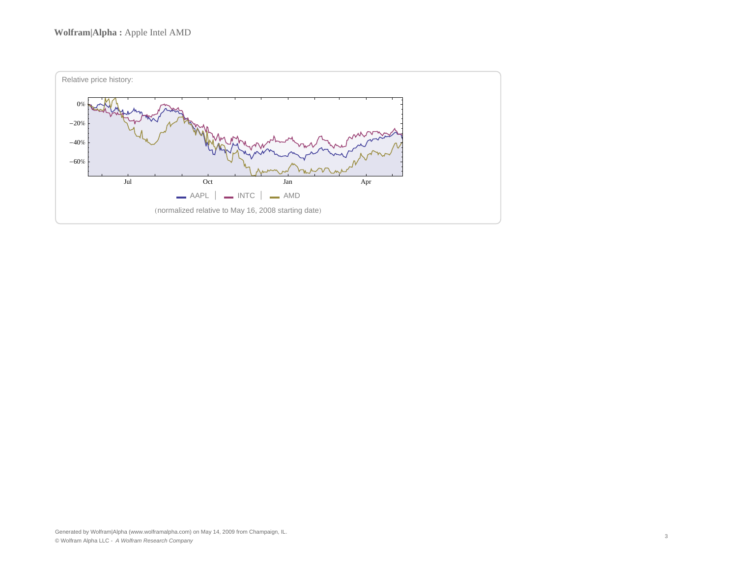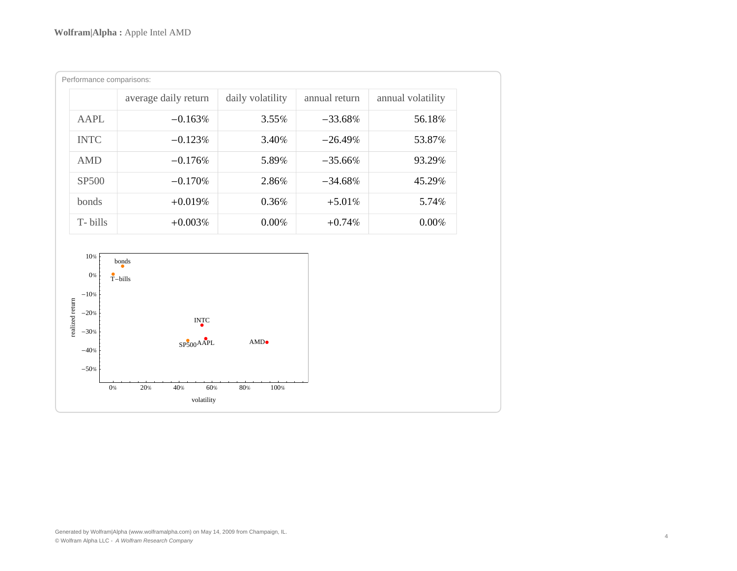| Performance comparisons: |                      |                  |               |                   |  |  |  |
|--------------------------|----------------------|------------------|---------------|-------------------|--|--|--|
|                          | average daily return | daily volatility | annual return | annual volatility |  |  |  |
| <b>AAPL</b>              | $-0.163\%$           | $3.55\%$         | $-33.68\%$    | 56.18%            |  |  |  |
| <b>INTC</b>              | $-0.123%$            | 3.40%            | $-26.49\%$    | 53.87%            |  |  |  |
| <b>AMD</b>               | $-0.176%$            | 5.89%            | $-35.66%$     | 93.29%            |  |  |  |
| <b>SP500</b>             | $-0.170%$            | 2.86%            | $-34.68\%$    | 45.29%            |  |  |  |
| bonds                    | $+0.019%$            | $0.36\%$         | $+5.01\%$     | 5.74%             |  |  |  |
| T-bills                  | $+0.003\%$           | $0.00\%$         | $+0.74\%$     | $0.00\%$          |  |  |  |

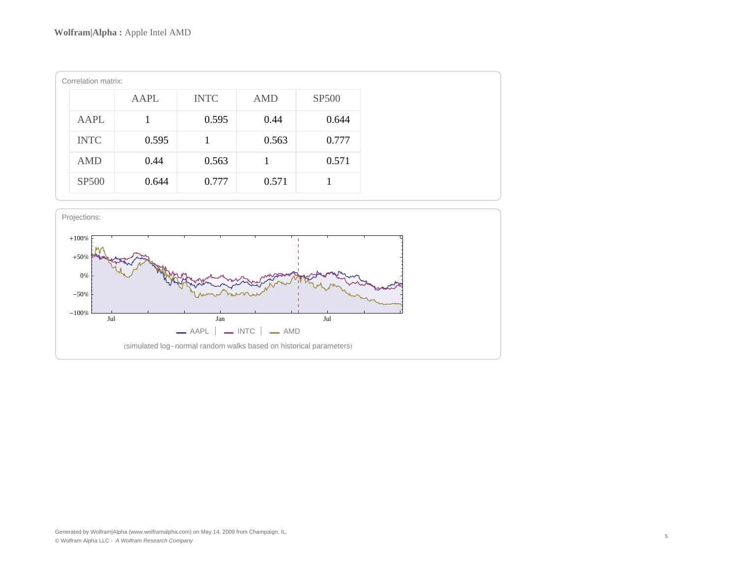| Correlation matrix: |       |             |            |              |  |  |  |
|---------------------|-------|-------------|------------|--------------|--|--|--|
|                     | AAPL  | <b>INTC</b> | <b>AMD</b> | <b>SP500</b> |  |  |  |
| <b>AAPL</b>         |       | 0.595       | 0.44       | 0.644        |  |  |  |
| <b>INTC</b>         | 0.595 |             | 0.563      | 0.777        |  |  |  |
| <b>AMD</b>          | 0.44  | 0.563       |            | 0.571        |  |  |  |
| <b>SP500</b>        | 0.644 | 0.777       | 0.571      |              |  |  |  |

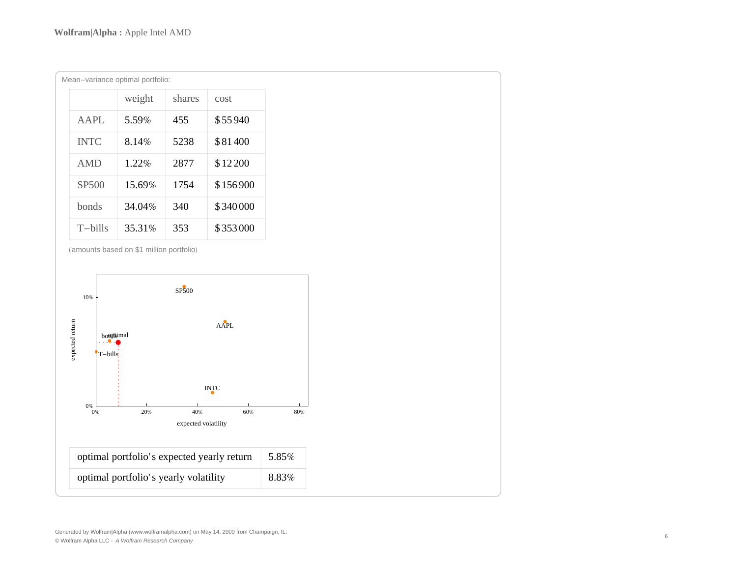| Mean-variance optimal portfolio: |             |        |        |         |  |  |
|----------------------------------|-------------|--------|--------|---------|--|--|
|                                  |             | weight | shares | cost    |  |  |
|                                  | $A$ $AP$ L  | 5.59%  | 455    | \$55940 |  |  |
|                                  | <b>INTC</b> | 8.14%  | 5238   | \$81400 |  |  |
|                                  | <b>AMD</b>  | 1.22%  | 2877   | \$12200 |  |  |

| SP <sub>500</sub> | 15.69% | 1754 | \$156900 |
|-------------------|--------|------|----------|
| <b>bonds</b>      | 34.04% | 340  | \$340000 |
| T-bills           | 35.31% | 353  | \$353000 |

(amounts based on \$1 million portfolio)



Generated by Wolfram|Alpha (www.wolframalpha.com) on May 14, 2009 from Champaign, IL. © Wolfram Alpha LLC - A Wolfram Research Company